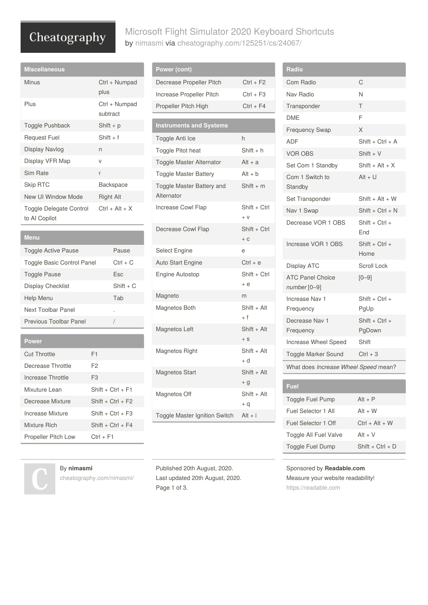# Cheatography

## Microsoft Flight Simulator 2020 Keyboard Shortcuts by [nimasmi](http://www.cheatography.com/nimasmi/) via [cheatography.com/125251/cs/24067/](http://www.cheatography.com/nimasmi/cheat-sheets/microsoft-flight-simulator-2020)

| <b>Miscellaneous</b>                     |                           |
|------------------------------------------|---------------------------|
| Minus                                    | Ctrl + Numpad<br>plus     |
| Plus                                     | Ctrl + Numpad<br>subtract |
| Toggle Pushback                          | Shift $+ p$               |
| Request Fuel                             | $Shift + f$               |
| Display Navlog                           | n                         |
| Display VFR Map                          | $\vee$                    |
| Sim Rate                                 | r                         |
| Skip RTC                                 | Backspace                 |
| New UI Window Mode                       | Right Alt                 |
| Toggle Delegate Control<br>to AI Copilot | $Ctrl + Alt + X$          |

| Menu                              |             |
|-----------------------------------|-------------|
| Toggle Active Pause               | Pause       |
| <b>Toggle Basic Control Panel</b> | $Ctrl + C$  |
| <b>Toggle Pause</b>               | Esc         |
| Display Checklist                 | $Shift + C$ |
| Help Menu                         | Tab         |
| Next Toolbar Panel                |             |
| Previous Toolbar Panel            |             |

| <b>Power</b>               |                     |
|----------------------------|---------------------|
| Cut Throttle               | F1                  |
| Decrease Throttle          | F2                  |
| Increase Throttle          | F <sub>3</sub>      |
| Mixuture Lean              | $Shift + Crit + F1$ |
| Decrease Mixture           | $Shift + Crit + F2$ |
| Increase Mixture           | $Shift + Crit + F3$ |
| Mixture Rich               | $Shift + Crit + F4$ |
| <b>Propeller Pitch Low</b> | $Ctrl + F1$         |

| Power (cont)                            |                       |
|-----------------------------------------|-----------------------|
| Decrease Propeller Pitch                | $Ctrl + F2$           |
| Increase Propeller Pitch                | $Ctrl + F3$           |
| Propeller Pitch High                    | $Ctrl + F4$           |
|                                         |                       |
| <b>Instruments and Systems</b>          |                       |
| Toggle Anti Ice                         | h                     |
| Toggle Pitot heat                       | $Shift + h$           |
| Toggle Master Alternator                | $Alt + a$             |
| <b>Toggle Master Battery</b>            | $Alt + b$             |
| Toggle Master Battery and<br>Alternator | $Shift + m$           |
| Increase Cowl Flap                      | Shift + Ctrl<br>$+V$  |
| Decrease Cowl Flap                      | Shift + Ctrl<br>$+ C$ |
| Select Engine                           | e                     |
| Auto Start Engine                       | $Ctrl + e$            |
| <b>Engine Autostop</b>                  | Shift + Ctrl<br>$+e$  |
| Magneto                                 | m                     |
| Magnetos Both                           | Shift + Alt<br>+ f    |
| Magnetos Left                           | Shift + Alt<br>$+ S$  |
| Magnetos Right                          | Shift + Alt<br>$+ d$  |
| <b>Magnetos Start</b>                   | Shift + Alt<br>$+q$   |
| Magnetos Off                            | Shift + Alt<br>$+ q$  |
| Toggle Master Ignition Switch           | $Alt + i$             |

| Radio                                   |                                |
|-----------------------------------------|--------------------------------|
| Com Radio                               | C                              |
| Nav Radio                               | N                              |
| Transponder                             | T                              |
| <b>DME</b>                              | F                              |
| <b>Frequency Swap</b>                   | X                              |
| ADF                                     | $Shift + Crit + A$             |
| <b>VOR OBS</b>                          | $Shift + V$                    |
| Set Com 1 Standby                       | $Shift + Alt + X$              |
| Com 1 Switch to<br>Standby              | $Alt + U$                      |
| Set Transponder                         | $Shift + Alt + W$              |
| Nav 1 Swap                              | $Shift + Crit + N$             |
| Decrease VOR 1 OBS                      | $Shift + Crit +$<br><b>Fnd</b> |
| Increase VOR 1 OBS                      | Shift + Ctrl +<br>Home         |
| Display ATC                             | <b>Scroll Lock</b>             |
| <b>ATC Panel Choice</b><br>number [0-9] | $[0 - 9]$                      |
| Increase Nav 1<br>Frequency             | $Shift + Crit +$<br>PgUp       |
| Decrease Nav 1<br>Frequency             | $Shift + Crit +$<br>PgDown     |
| Increase Wheel Speed                    | Shift                          |
| <b>Toggle Marker Sound</b>              | $Ctrl + 3$                     |
| What does Increase Wheel Speed mean?    |                                |
|                                         |                                |
| Fuel                                    |                                |

| Fuel                  |                    |
|-----------------------|--------------------|
| Toggle Fuel Pump      | $Alt + P$          |
| Fuel Selector 1 All   | $Alt + W$          |
| Fuel Selector 1 Off   | $Ctrl + Alt + W$   |
| Toggle All Fuel Valve | $Alt + V$          |
| Toggle Fuel Dump      | $Shift + Crit + D$ |

#### Sponsored by **Readable.com**

Measure your website readability! <https://readable.com>

#### By **nimasmi**

[cheatography.com/nimasmi/](http://www.cheatography.com/nimasmi/)

Published 20th August, 2020. Last updated 20th August, 2020. Page 1 of 3.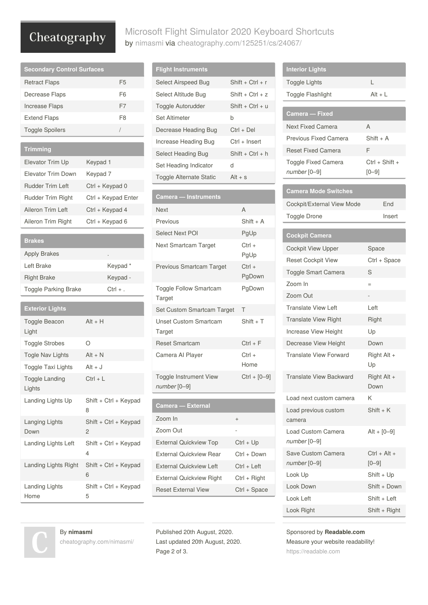# Cheatography

## Microsoft Flight Simulator 2020 Keyboard Shortcuts by [nimasmi](http://www.cheatography.com/nimasmi/) via [cheatography.com/125251/cs/24067/](http://www.cheatography.com/nimasmi/cheat-sheets/microsoft-flight-simulator-2020)

| <b>Secondary Control Surfaces</b>             |                            |
|-----------------------------------------------|----------------------------|
| <b>Retract Flaps</b>                          | F <sub>5</sub>             |
| Decrease Flaps                                | F <sub>6</sub>             |
| <b>Increase Flaps</b>                         | F7                         |
| <b>Extend Flaps</b>                           | F8                         |
| <b>Toggle Spoilers</b>                        | T                          |
| <b>Trimming</b>                               |                            |
|                                               |                            |
| Elevator Trim Up<br><b>Elevator Trim Down</b> | Keypad 1                   |
|                                               | Keypad 7                   |
| <b>Rudder Trim Left</b>                       | Ctrl + Keypad 0            |
| <b>Rudder Trim Right</b>                      | Ctrl + Keypad Enter        |
| Aileron Trim Left                             | Ctrl + Keypad 4            |
| Aileron Trim Right                            | Ctrl + Keypad 6            |
| <b>Brakes</b>                                 |                            |
| <b>Apply Brakes</b>                           |                            |
| Left Brake                                    | Keypad*                    |
| <b>Right Brake</b>                            | Keypad -                   |
| <b>Toggle Parking Brake</b>                   | $Ctrl + .$                 |
| <b>Exterior Lights</b>                        |                            |
|                                               | Alt + H                    |
| Toggle Beacon<br>Light                        |                            |
| <b>Toggle Strobes</b>                         | Ο                          |
| Togle Nav Lights                              | Alt + N                    |
| <b>Toggle Taxi Lights</b>                     | $Alt + J$                  |
| Toggle Landing<br>Lights                      | $Ctrl + L$                 |
| Landing Lights Up                             | Shift + Ctrl + Keypad<br>8 |
| Langing Lights<br>Down                        | Shift + Ctrl + Keypad<br>2 |
| Landing Lights Left                           | Shift + Ctrl + Keypad<br>4 |
| Landing Lights Right                          | Shift + Ctrl + Keypad<br>6 |
| <b>Landing Lights</b><br>Home                 | Shift + Ctrl + Keypad<br>5 |

By **nimasmi**

[cheatography.com/nimasmi/](http://www.cheatography.com/nimasmi/)

| <b>Flight Instruments</b>               |                    |
|-----------------------------------------|--------------------|
| Select Airspeed Bug                     | $Shift + Crit + r$ |
| Select Altitude Bug                     | $Shift + Crit + z$ |
| <b>Toggle Autorudder</b>                | $Shift + Crit + u$ |
| <b>Set Altimeter</b>                    | b                  |
| Decrease Heading Bug                    | Ctrl + Del         |
| Increase Heading Bug                    | Ctrl + Insert      |
| Select Heading Bug                      | $Shift + Crit + h$ |
| Set Heading Indicator                   | d                  |
| <b>Toggle Alternate Static</b>          | $Alt + s$          |
|                                         |                    |
|                                         |                    |
| Camera - Instruments                    |                    |
| <b>Next</b>                             | A                  |
| Previous                                | $Shift + A$        |
| <b>Select Next POI</b>                  | PgUp               |
| Next Smartcam Target                    | $Ctrl +$<br>PgUp   |
| Previous Smartcam Target                | $Ctrl +$<br>PgDown |
| <b>Toggle Follow Smartcam</b><br>Target | PgDown             |
| Set Custom Smartcam Target              | Τ                  |

| Set Custom Smartcam Target               | т                 |
|------------------------------------------|-------------------|
| Unset Custom Smartcam<br>Target          | $Shift + T$       |
| <b>Reset Smartcam</b>                    | $Ctrl + F$        |
| Camera Al Player                         | $C$ trl +<br>Home |
| Toggle Instrument View<br>$number [0-9]$ | $Ctrl + [0-9]$    |

| Camera — External               |               |
|---------------------------------|---------------|
| Zoom In                         | $^{+}$        |
| Zoom Out                        |               |
| <b>External Quickview Top</b>   | Ctrl + Up     |
| External Quickview Rear         | Ctrl + Down   |
| External Quickview Left         | $Ctrl + left$ |
| <b>External Quickview Right</b> | Ctrl + Right  |
| <b>Reset External View</b>      | Ctrl + Space  |

Published 20th August, 2020. Last updated 20th August, 2020. Page 2 of 3.

| <b>Interior Lights</b>                       |                             |
|----------------------------------------------|-----------------------------|
| <b>Toggle Lights</b>                         | L                           |
| <b>Toggle Flashlight</b>                     | Alt + L                     |
| Camera — Fixed                               |                             |
| <b>Next Fixed Camera</b>                     | A                           |
| <b>Previous Fixed Camera</b>                 | $Shift + A$                 |
| <b>Reset Fixed Camera</b>                    | F                           |
| <b>Toggle Fixed Camera</b><br>$number [0-9]$ | Ctrl + Shift +<br>$[0 - 9]$ |
| Camera Mode Switches                         |                             |
| Cockpit/External View Mode                   | End                         |
| <b>Toggle Drone</b>                          | Insert                      |
|                                              |                             |
| <b>Cockpit Camera</b>                        |                             |
| <b>Cockpit View Upper</b>                    | Space                       |
| <b>Reset Cockpit View</b>                    | Ctrl + Space                |
| <b>Toggle Smart Camera</b>                   | S                           |
| Zoom In                                      | $=$                         |
| Zoom Out                                     |                             |
| <b>Translate View Left</b>                   | Left                        |
| <b>Translate View Right</b>                  | Right                       |
| Increase View Height                         | Up                          |
| Decrease View Height                         | Down                        |
| <b>Translate View Forward</b>                | Right Alt +<br>Up           |
| <b>Translate View Backward</b>               | Right Alt +<br>Down         |
| Load next custom camera                      | Κ                           |
| Load previous custom<br>camera               | $Shift + K$                 |
| <b>Load Custom Camera</b><br>number [0-9]    | $Alt + [0 - 9]$             |
| Save Custom Camera<br>number [0-9]           | Ctrl + Alt +<br>$[0 - 9]$   |
| Look Up                                      | Shift + Up                  |
| Look Down                                    | Shift + Down                |
| Look Left                                    | Shift + Left                |
| Look Right                                   | Shift + Right               |

Sponsored by **Readable.com** Measure your website readability! <https://readable.com>